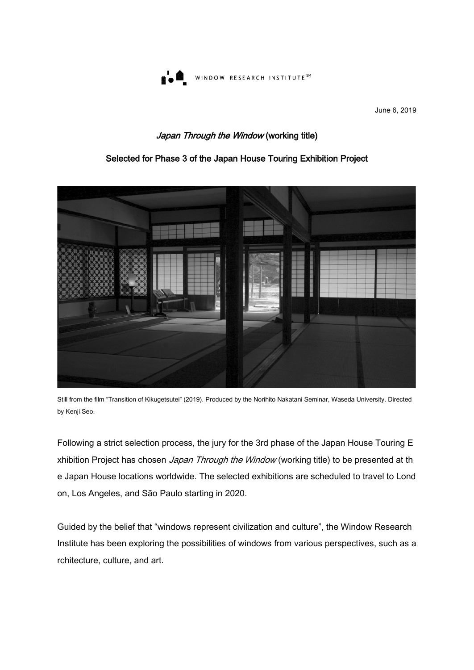

June 6, 2019

## Japan Through the Window (working title)

### Selected for Phase 3 of the Japan House Touring Exhibition Project



Still from the film "Transition of Kikugetsutei" (2019). Produced by the Norihito Nakatani Seminar, Waseda University. Directed by Kenji Seo.

Following a strict selection process, the jury for the 3rd phase of the Japan House Touring E xhibition Project has chosen Japan Through the Window (working title) to be presented at th e Japan House locations worldwide. The selected exhibitions are scheduled to travel to Lond on, Los Angeles, and São Paulo starting in 2020.

Guided by the belief that "windows represent civilization and culture", the Window Research Institute has been exploring the possibilities of windows from various perspectives, such as a rchitecture, culture, and art.